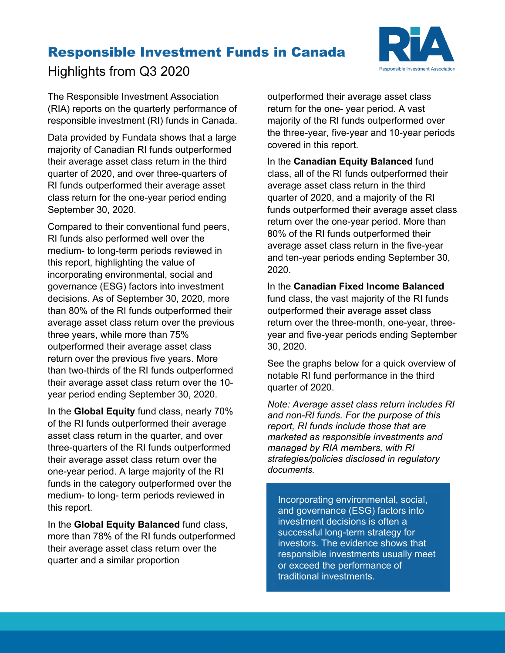# Responsible Investment Funds in Canada



Highlights from Q3 2020

The Responsible Investment Association (RIA) reports on the quarterly performance of responsible investment (RI) funds in Canada.

Data provided by Fundata shows that a large majority of Canadian RI funds outperformed their average asset class return in the third quarter of 2020, and over three-quarters of RI funds outperformed their average asset class return for the one-year period ending September 30, 2020.

Compared to their conventional fund peers, RI funds also performed well over the medium- to long-term periods reviewed in this report, highlighting the value of incorporating environmental, social and governance (ESG) factors into investment decisions. As of September 30, 2020, more than 80% of the RI funds outperformed their average asset class return over the previous three years, while more than 75% outperformed their average asset class return over the previous five years. More than two-thirds of the RI funds outperformed their average asset class return over the 10 year period ending September 30, 2020.

In the **Global Equity** fund class, nearly 70% of the RI funds outperformed their average asset class return in the quarter, and over three-quarters of the RI funds outperformed their average asset class return over the one-year period. A large majority of the RI funds in the category outperformed over the medium- to long- term periods reviewed in this report.

In the **Global Equity Balanced** fund class, more than 78% of the RI funds outperformed their average asset class return over the quarter and a similar proportion

outperformed their average asset class return for the one- year period. A vast majority of the RI funds outperformed over the three-year, five-year and 10-year periods covered in this report.

In the **Canadian Equity Balanced** fund class, all of the RI funds outperformed their average asset class return in the third quarter of 2020, and a majority of the RI funds outperformed their average asset class return over the one-year period. More than 80% of the RI funds outperformed their average asset class return in the five-year and ten-year periods ending September 30, 2020.

In the **Canadian Fixed Income Balanced**  fund class, the vast majority of the RI funds outperformed their average asset class return over the three-month, one-year, threeyear and five-year periods ending September 30, 2020.

See the graphs below for a quick overview of notable RI fund performance in the third quarter of 2020.

*Note: Average asset class return includes RI and non-RI funds. For the purpose of this report, RI funds include those that are marketed as responsible investments and managed by RIA members, with RI strategies/policies disclosed in regulatory documents.*

Incorporating environmental, social, and governance (ESG) factors into investment decisions is often a successful long-term strategy for investors. The evidence shows that responsible investments usually meet or exceed the performance of traditional investments.